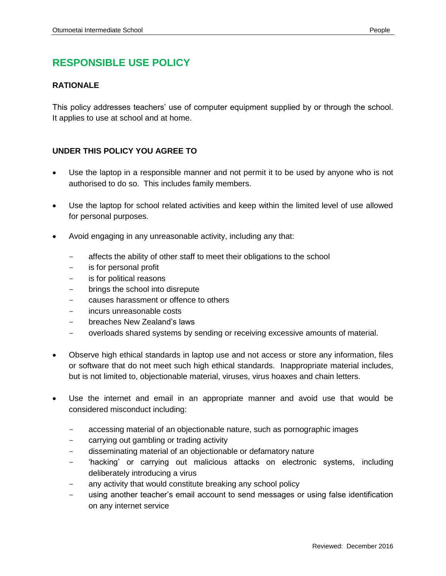## **RESPONSIBLE USE POLICY**

## **RATIONALE**

This policy addresses teachers' use of computer equipment supplied by or through the school. It applies to use at school and at home.

## **UNDER THIS POLICY YOU AGREE TO**

- Use the laptop in a responsible manner and not permit it to be used by anyone who is not authorised to do so. This includes family members.
- Use the laptop for school related activities and keep within the limited level of use allowed for personal purposes.
- Avoid engaging in any unreasonable activity, including any that:
	- affects the ability of other staff to meet their obligations to the school
	- is for personal profit
	- is for political reasons
	- brings the school into disrepute
	- causes harassment or offence to others
	- incurs unreasonable costs
	- breaches New Zealand's laws
	- overloads shared systems by sending or receiving excessive amounts of material.
- Observe high ethical standards in laptop use and not access or store any information, files or software that do not meet such high ethical standards. Inappropriate material includes, but is not limited to, objectionable material, viruses, virus hoaxes and chain letters.
- Use the internet and email in an appropriate manner and avoid use that would be considered misconduct including:
	- accessing material of an objectionable nature, such as pornographic images
	- carrying out gambling or trading activity
	- disseminating material of an objectionable or defamatory nature
	- 'hacking' or carrying out malicious attacks on electronic systems, including deliberately introducing a virus
	- any activity that would constitute breaking any school policy
	- using another teacher's email account to send messages or using false identification on any internet service